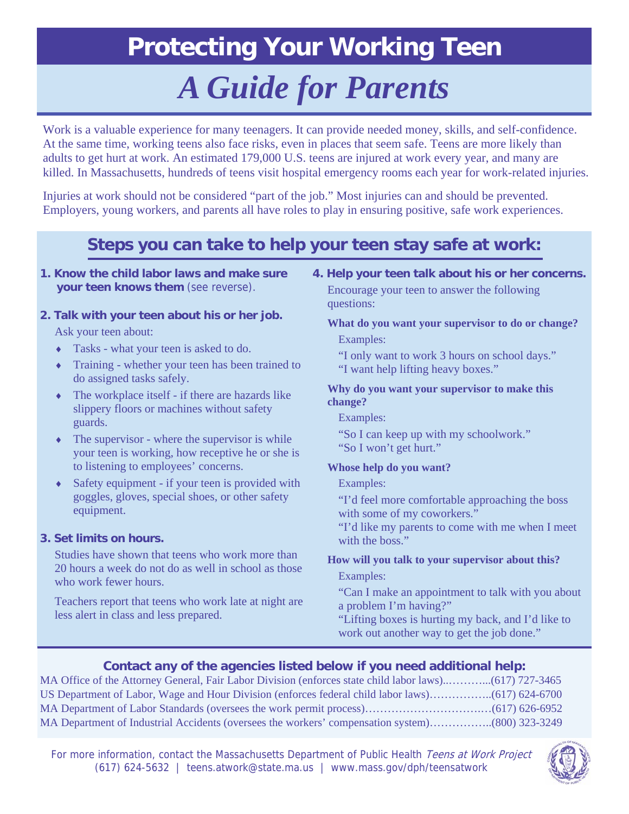## **Protecting Your Working Teen**

# *A Guide for Parents*

Work is a valuable experience for many teenagers. It can provide needed money, skills, and self-confidence. At the same time, working teens also face risks, even in places that seem safe. Teens are more likely than adults to get hurt at work. An estimated 179,000 U.S. teens are injured at work every year, and many are killed. In Massachusetts, hundreds of teens visit hospital emergency rooms each year for work-related injuries.

Injuries at work should not be considered "part of the job." Most injuries can and should be prevented. Employers, young workers, and parents all have roles to play in ensuring positive, safe work experiences.

### **Steps you can take to help your teen stay safe at work:**

**1. Know the child labor laws and make sure your teen knows them** (see reverse).

#### **2. Talk with your teen about his or her job.**

Ask your teen about:

- ♦ Tasks what your teen is asked to do.
- ♦ Training whether your teen has been trained to do assigned tasks safely.
- $\bullet$  The workplace itself if there are hazards like slippery floors or machines without safety guards.
- $\bullet$  The supervisor where the supervisor is while your teen is working, how receptive he or she is to listening to employees' concerns.
- ♦ Safety equipment if your teen is provided with goggles, gloves, special shoes, or other safety equipment.

#### **3. Set limits on hours.**

Studies have shown that teens who work more than 20 hours a week do not do as well in school as those who work fewer hours.

Teachers report that teens who work late at night are less alert in class and less prepared.

#### **4. Help your teen talk about his or her concerns.**

Encourage your teen to answer the following questions:

#### **What do you want your supervisor to do or change?**  Examples:

- "I only want to work 3 hours on school days."
- "I want help lifting heavy boxes."

#### **Why do you want your supervisor to make this change?**

Examples:

"So I can keep up with my schoolwork." "So I won't get hurt."

#### **Whose help do you want?**

#### Examples:

"I'd feel more comfortable approaching the boss with some of my coworkers."

"I'd like my parents to come with me when I meet with the boss."

#### **How will you talk to your supervisor about this?**

Examples:

"Can I make an appointment to talk with you about a problem I'm having?"

"Lifting boxes is hurting my back, and I'd like to work out another way to get the job done."

#### **Contact any of the agencies listed below if you need additional help:**

MA Office of the Attorney General, Fair Labor Division (enforces state child labor laws)..………...(617) 727-3465 US Department of Labor, Wage and Hour Division (enforces federal child labor laws)……………..(617) 624-6700 MA Department of Labor Standards (oversees the work permit process)………………………………….(617) 626-6952 MA Department of Industrial Accidents (oversees the workers' compensation system)……………..(800) 323-3249